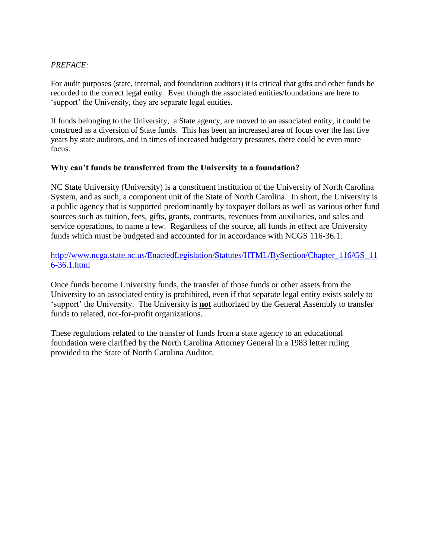## *PREFACE:*

For audit purposes (state, internal, and foundation auditors) it is critical that gifts and other funds be recorded to the correct legal entity. Even though the associated entities/foundations are here to 'support' the University, they are separate legal entities.

If funds belonging to the University, a State agency, are moved to an associated entity, it could be construed as a diversion of State funds. This has been an increased area of focus over the last five years by state auditors, and in times of increased budgetary pressures, there could be even more focus.

## **Why can't funds be transferred from the University to a foundation?**

NC State University (University) is a constituent institution of the University of North Carolina System, and as such, a component unit of the State of North Carolina. In short, the University is a public agency that is supported predominantly by taxpayer dollars as well as various other fund sources such as tuition, fees, gifts, grants, contracts, revenues from auxiliaries, and sales and service operations, to name a few. Regardless of the source, all funds in effect are University funds which must be budgeted and accounted for in accordance with NCGS 116-36.1.

[http://www.ncga.state.nc.us/EnactedLegislation/Statutes/HTML/BySection/Chapter\\_116/GS\\_11](http://www.ncga.state.nc.us/EnactedLegislation/Statutes/HTML/BySection/Chapter_116/GS_116-36.1.html) [6-36.1.html](http://www.ncga.state.nc.us/EnactedLegislation/Statutes/HTML/BySection/Chapter_116/GS_116-36.1.html)

Once funds become University funds, the transfer of those funds or other assets from the University to an associated entity is prohibited, even if that separate legal entity exists solely to 'support' the University. The University is **not** authorized by the General Assembly to transfer funds to related, not-for-profit organizations.

These regulations related to the transfer of funds from a state agency to an educational foundation were clarified by the North Carolina Attorney General in a 1983 letter ruling provided to the State of North Carolina Auditor.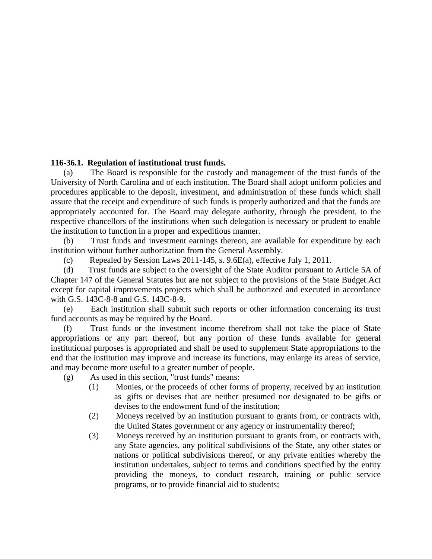## **116-36.1. Regulation of institutional trust funds.**

(a) The Board is responsible for the custody and management of the trust funds of the University of North Carolina and of each institution. The Board shall adopt uniform policies and procedures applicable to the deposit, investment, and administration of these funds which shall assure that the receipt and expenditure of such funds is properly authorized and that the funds are appropriately accounted for. The Board may delegate authority, through the president, to the respective chancellors of the institutions when such delegation is necessary or prudent to enable the institution to function in a proper and expeditious manner.

(b) Trust funds and investment earnings thereon, are available for expenditure by each institution without further authorization from the General Assembly.

(c) Repealed by Session Laws 2011-145, s. 9.6E(a), effective July 1, 2011.

(d) Trust funds are subject to the oversight of the State Auditor pursuant to Article 5A of Chapter 147 of the General Statutes but are not subject to the provisions of the State Budget Act except for capital improvements projects which shall be authorized and executed in accordance with G.S. 143C-8-8 and G.S. 143C-8-9.

(e) Each institution shall submit such reports or other information concerning its trust fund accounts as may be required by the Board.

(f) Trust funds or the investment income therefrom shall not take the place of State appropriations or any part thereof, but any portion of these funds available for general institutional purposes is appropriated and shall be used to supplement State appropriations to the end that the institution may improve and increase its functions, may enlarge its areas of service, and may become more useful to a greater number of people.

(g) As used in this section, "trust funds" means:

- (1) Monies, or the proceeds of other forms of property, received by an institution as gifts or devises that are neither presumed nor designated to be gifts or devises to the endowment fund of the institution;
- (2) Moneys received by an institution pursuant to grants from, or contracts with, the United States government or any agency or instrumentality thereof;
- (3) Moneys received by an institution pursuant to grants from, or contracts with, any State agencies, any political subdivisions of the State, any other states or nations or political subdivisions thereof, or any private entities whereby the institution undertakes, subject to terms and conditions specified by the entity providing the moneys, to conduct research, training or public service programs, or to provide financial aid to students;